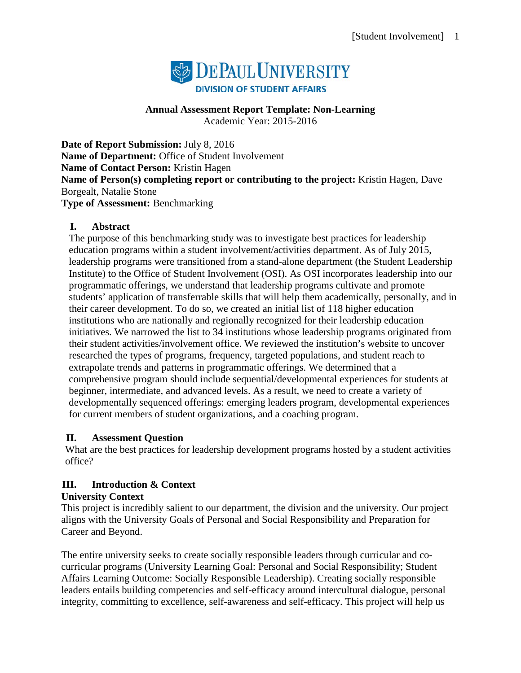

# **Annual Assessment Report Template: Non-Learning**

Academic Year: 2015-2016

**Date of Report Submission:** July 8, 2016 **Name of Department:** Office of Student Involvement **Name of Contact Person:** Kristin Hagen **Name of Person(s) completing report or contributing to the project:** Kristin Hagen, Dave Borgealt, Natalie Stone **Type of Assessment:** Benchmarking

# **I. Abstract**

The purpose of this benchmarking study was to investigate best practices for leadership education programs within a student involvement/activities department. As of July 2015, leadership programs were transitioned from a stand-alone department (the Student Leadership Institute) to the Office of Student Involvement (OSI). As OSI incorporates leadership into our programmatic offerings, we understand that leadership programs cultivate and promote students' application of transferrable skills that will help them academically, personally, and in their career development. To do so, we created an initial list of 118 higher education institutions who are nationally and regionally recognized for their leadership education initiatives. We narrowed the list to 34 institutions whose leadership programs originated from their student activities/involvement office. We reviewed the institution's website to uncover researched the types of programs, frequency, targeted populations, and student reach to extrapolate trends and patterns in programmatic offerings. We determined that a comprehensive program should include sequential/developmental experiences for students at beginner, intermediate, and advanced levels. As a result, we need to create a variety of developmentally sequenced offerings: emerging leaders program, developmental experiences for current members of student organizations, and a coaching program.

# **II. Assessment Question**

What are the best practices for leadership development programs hosted by a student activities office?

# **III. Introduction & Context**

# **University Context**

This project is incredibly salient to our department, the division and the university. Our project aligns with the University Goals of Personal and Social Responsibility and Preparation for Career and Beyond.

The entire university seeks to create socially responsible leaders through curricular and cocurricular programs (University Learning Goal: Personal and Social Responsibility; Student Affairs Learning Outcome: Socially Responsible Leadership). Creating socially responsible leaders entails building competencies and self-efficacy around intercultural dialogue, personal integrity, committing to excellence, self-awareness and self-efficacy. This project will help us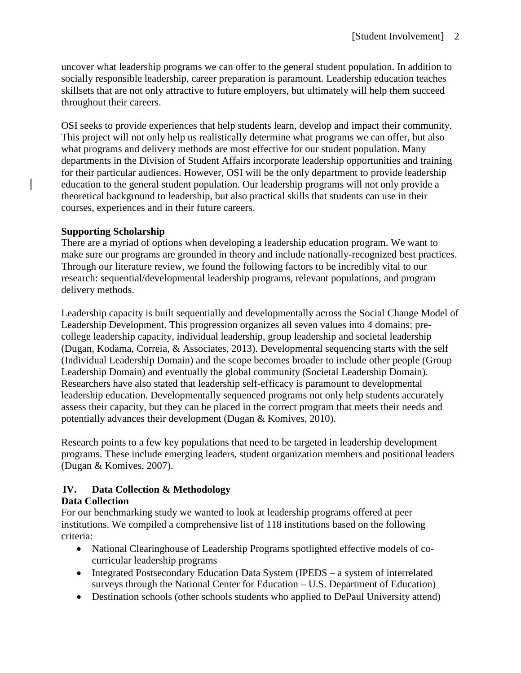uncover what leadership programs we can offer to the general student population. In addition to socially responsible leadership, career preparation is paramount. Leadership education teaches skillsets that are not only attractive to future employers, but ultimately will help them succeed throughout their careers.

OSI seeks to provide experiences that help students learn, develop and impact their community. This project will not only help us realistically determine what programs we can offer, but also what programs and delivery methods are most effective for our student population. Many departments in the Division of Student Affairs incorporate leadership opportunities and training for their particular audiences. However, OSI will be the only department to provide leadership education to the general student population. Our leadership programs will not only provide a theoretical background to leadership, but also practical skills that students can use in their courses, experiences and in their future careers.

# **Supporting Scholarship**

There are a myriad of options when developing a leadership education program. We want to make sure our programs are grounded in theory and include nationally-recognized best practices. Through our literature review, we found the following factors to be incredibly vital to our research: sequential/developmental leadership programs, relevant populations, and program delivery methods.

Leadership capacity is built sequentially and developmentally across the Social Change Model of Leadership Development. This progression organizes all seven values into 4 domains; precollege leadership capacity, individual leadership, group leadership and societal leadership (Dugan, Kodama, Correia, & Associates, 2013). Developmental sequencing starts with the self (Individual Leadership Domain) and the scope becomes broader to include other people (Group Leadership Domain) and eventually the global community (Societal Leadership Domain). Researchers have also stated that leadership self-efficacy is paramount to developmental leadership education. Developmentally sequenced programs not only help students accurately assess their capacity, but they can be placed in the correct program that meets their needs and potentially advances their development (Dugan & Komives, 2010).

Research points to a few key populations that need to be targeted in leadership development programs. These include emerging leaders, student organization members and positional leaders (Dugan & Komives, 2007).

# **IV. Data Collection & Methodology**

# **Data Collection**

For our benchmarking study we wanted to look at leadership programs offered at peer institutions. We compiled a comprehensive list of 118 institutions based on the following criteria:

- National Clearinghouse of Leadership Programs spotlighted effective models of cocurricular leadership programs
- Integrated Postsecondary Education Data System (IPEDS a system of interrelated surveys through the National Center for Education – U.S. Department of Education)
- Destination schools (other schools students who applied to DePaul University attend)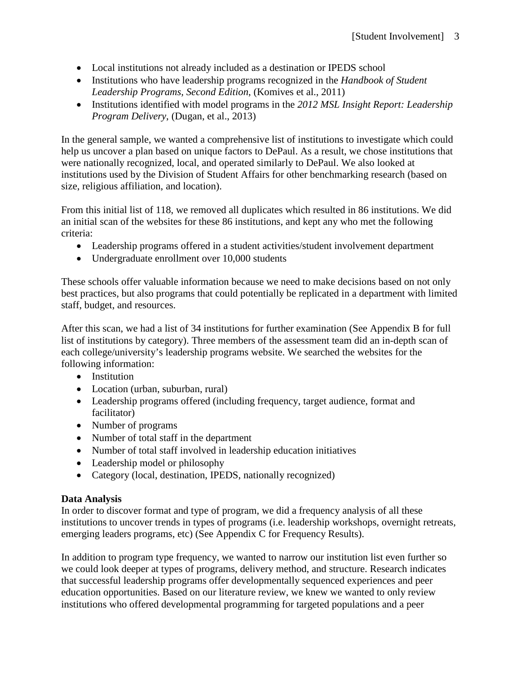- Local institutions not already included as a destination or IPEDS school
- Institutions who have leadership programs recognized in the *Handbook of Student Leadership Programs, Second Edition*, (Komives et al., 2011)
- Institutions identified with model programs in the *2012 MSL Insight Report: Leadership Program Delivery*, (Dugan, et al., 2013)

In the general sample, we wanted a comprehensive list of institutions to investigate which could help us uncover a plan based on unique factors to DePaul. As a result, we chose institutions that were nationally recognized, local, and operated similarly to DePaul. We also looked at institutions used by the Division of Student Affairs for other benchmarking research (based on size, religious affiliation, and location).

From this initial list of 118, we removed all duplicates which resulted in 86 institutions. We did an initial scan of the websites for these 86 institutions, and kept any who met the following criteria:

- Leadership programs offered in a student activities/student involvement department
- Undergraduate enrollment over 10,000 students

These schools offer valuable information because we need to make decisions based on not only best practices, but also programs that could potentially be replicated in a department with limited staff, budget, and resources.

After this scan, we had a list of 34 institutions for further examination (See Appendix B for full list of institutions by category). Three members of the assessment team did an in-depth scan of each college/university's leadership programs website. We searched the websites for the following information:

- Institution
- Location (urban, suburban, rural)
- Leadership programs offered (including frequency, target audience, format and facilitator)
- Number of programs
- Number of total staff in the department
- Number of total staff involved in leadership education initiatives
- Leadership model or philosophy
- Category (local, destination, IPEDS, nationally recognized)

# **Data Analysis**

In order to discover format and type of program, we did a frequency analysis of all these institutions to uncover trends in types of programs (i.e. leadership workshops, overnight retreats, emerging leaders programs, etc) (See Appendix C for Frequency Results).

In addition to program type frequency, we wanted to narrow our institution list even further so we could look deeper at types of programs, delivery method, and structure. Research indicates that successful leadership programs offer developmentally sequenced experiences and peer education opportunities. Based on our literature review, we knew we wanted to only review institutions who offered developmental programming for targeted populations and a peer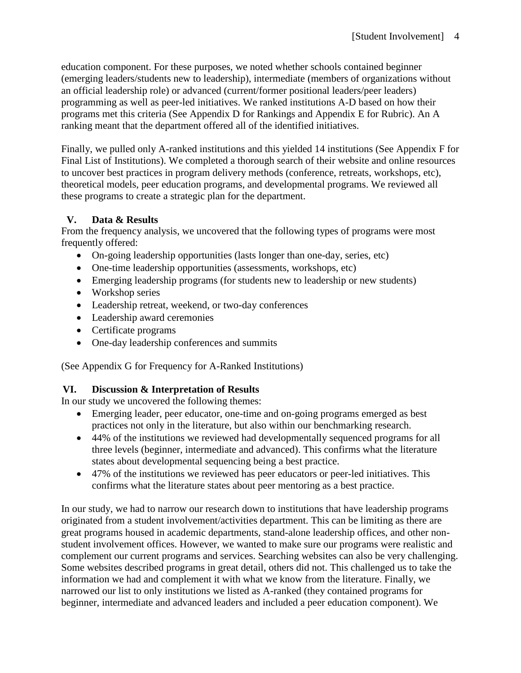education component. For these purposes, we noted whether schools contained beginner (emerging leaders/students new to leadership), intermediate (members of organizations without an official leadership role) or advanced (current/former positional leaders/peer leaders) programming as well as peer-led initiatives. We ranked institutions A-D based on how their programs met this criteria (See Appendix D for Rankings and Appendix E for Rubric). An A ranking meant that the department offered all of the identified initiatives.

Finally, we pulled only A-ranked institutions and this yielded 14 institutions (See Appendix F for Final List of Institutions). We completed a thorough search of their website and online resources to uncover best practices in program delivery methods (conference, retreats, workshops, etc), theoretical models, peer education programs, and developmental programs. We reviewed all these programs to create a strategic plan for the department.

# **V. Data & Results**

From the frequency analysis, we uncovered that the following types of programs were most frequently offered:

- On-going leadership opportunities (lasts longer than one-day, series, etc)
- One-time leadership opportunities (assessments, workshops, etc)
- Emerging leadership programs (for students new to leadership or new students)
- Workshop series
- Leadership retreat, weekend, or two-day conferences
- Leadership award ceremonies
- Certificate programs
- One-day leadership conferences and summits

(See Appendix G for Frequency for A-Ranked Institutions)

# **VI. Discussion & Interpretation of Results**

In our study we uncovered the following themes:

- Emerging leader, peer educator, one-time and on-going programs emerged as best practices not only in the literature, but also within our benchmarking research.
- 44% of the institutions we reviewed had developmentally sequenced programs for all three levels (beginner, intermediate and advanced). This confirms what the literature states about developmental sequencing being a best practice.
- 47% of the institutions we reviewed has peer educators or peer-led initiatives. This confirms what the literature states about peer mentoring as a best practice.

In our study, we had to narrow our research down to institutions that have leadership programs originated from a student involvement/activities department. This can be limiting as there are great programs housed in academic departments, stand-alone leadership offices, and other nonstudent involvement offices. However, we wanted to make sure our programs were realistic and complement our current programs and services. Searching websites can also be very challenging. Some websites described programs in great detail, others did not. This challenged us to take the information we had and complement it with what we know from the literature. Finally, we narrowed our list to only institutions we listed as A-ranked (they contained programs for beginner, intermediate and advanced leaders and included a peer education component). We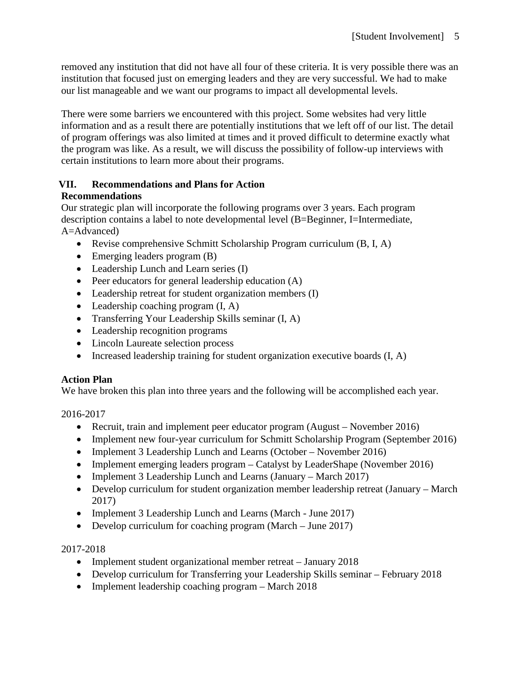removed any institution that did not have all four of these criteria. It is very possible there was an institution that focused just on emerging leaders and they are very successful. We had to make our list manageable and we want our programs to impact all developmental levels.

There were some barriers we encountered with this project. Some websites had very little information and as a result there are potentially institutions that we left off of our list. The detail of program offerings was also limited at times and it proved difficult to determine exactly what the program was like. As a result, we will discuss the possibility of follow-up interviews with certain institutions to learn more about their programs.

# **VII. Recommendations and Plans for Action**

# **Recommendations**

Our strategic plan will incorporate the following programs over 3 years. Each program description contains a label to note developmental level (B=Beginner, I=Intermediate, A=Advanced)

- Revise comprehensive Schmitt Scholarship Program curriculum (B, I, A)
- Emerging leaders program (B)
- Leadership Lunch and Learn series (I)
- Peer educators for general leadership education (A)
- Leadership retreat for student organization members (I)
- Leadership coaching program  $(I, A)$
- Transferring Your Leadership Skills seminar (I, A)
- Leadership recognition programs
- Lincoln Laureate selection process
- Increased leadership training for student organization executive boards (I, A)

# **Action Plan**

We have broken this plan into three years and the following will be accomplished each year.

2016-2017

- Recruit, train and implement peer educator program (August November 2016)
- Implement new four-year curriculum for Schmitt Scholarship Program (September 2016)
- Implement 3 Leadership Lunch and Learns (October November 2016)
- Implement emerging leaders program Catalyst by LeaderShape (November 2016)
- Implement 3 Leadership Lunch and Learns (January March 2017)
- Develop curriculum for student organization member leadership retreat (January March 2017)
- Implement 3 Leadership Lunch and Learns (March June 2017)
- Develop curriculum for coaching program (March June 2017)

# 2017-2018

- Implement student organizational member retreat January 2018
- Develop curriculum for Transferring your Leadership Skills seminar February 2018
- Implement leadership coaching program March 2018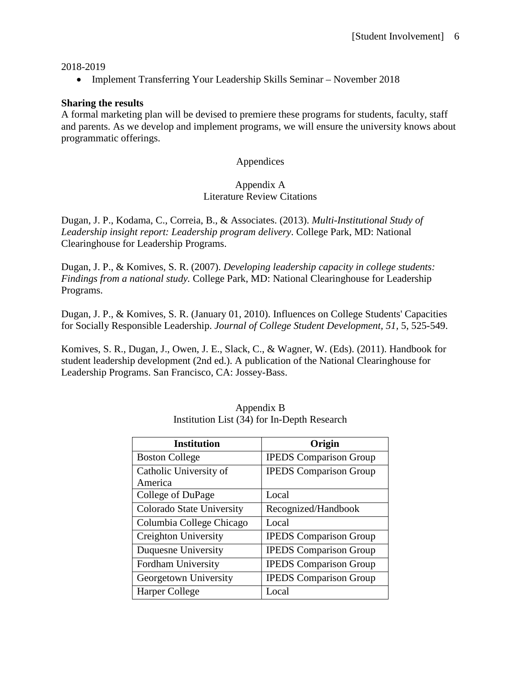#### 2018-2019

• Implement Transferring Your Leadership Skills Seminar – November 2018

#### **Sharing the results**

A formal marketing plan will be devised to premiere these programs for students, faculty, staff and parents. As we develop and implement programs, we will ensure the university knows about programmatic offerings.

#### Appendices

#### Appendix A Literature Review Citations

Dugan, J. P., Kodama, C., Correia, B., & Associates. (2013). *Multi-Institutional Study of Leadership insight report: Leadership program delivery*. College Park, MD: National Clearinghouse for Leadership Programs.

Dugan, J. P., & Komives, S. R. (2007). *Developing leadership capacity in college students: Findings from a national study.* College Park, MD: National Clearinghouse for Leadership Programs.

Dugan, J. P., & Komives, S. R. (January 01, 2010). Influences on College Students' Capacities for Socially Responsible Leadership. *Journal of College Student Development, 51,* 5, 525-549.

Komives, S. R., Dugan, J., Owen, J. E., Slack, C., & Wagner, W. (Eds). (2011). Handbook for student leadership development (2nd ed.). A publication of the National Clearinghouse for Leadership Programs. San Francisco, CA: Jossey-Bass.

| <b>Institution</b>        | Origin                        |
|---------------------------|-------------------------------|
| <b>Boston College</b>     | <b>IPEDS</b> Comparison Group |
| Catholic University of    | <b>IPEDS</b> Comparison Group |
| America                   |                               |
| College of DuPage         | Local                         |
| Colorado State University | Recognized/Handbook           |
| Columbia College Chicago  | Local                         |
| Creighton University      | <b>IPEDS</b> Comparison Group |
| Duquesne University       | <b>IPEDS</b> Comparison Group |
| Fordham University        | <b>IPEDS</b> Comparison Group |
| Georgetown University     | <b>IPEDS</b> Comparison Group |
| Harper College            | Local                         |

| Appendix B                                  |  |
|---------------------------------------------|--|
| Institution List (34) for In-Depth Research |  |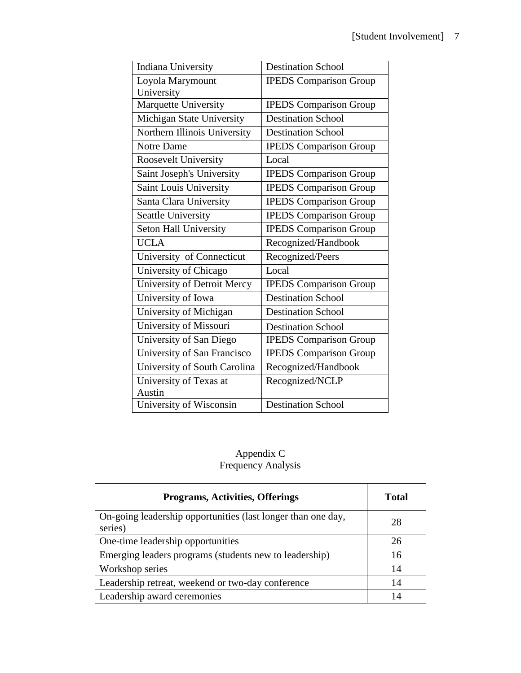| <b>Indiana University</b>    | <b>Destination School</b>     |
|------------------------------|-------------------------------|
| Loyola Marymount             | <b>IPEDS</b> Comparison Group |
| University                   |                               |
| Marquette University         | <b>IPEDS</b> Comparison Group |
| Michigan State University    | <b>Destination School</b>     |
| Northern Illinois University | <b>Destination School</b>     |
| <b>Notre Dame</b>            | <b>IPEDS</b> Comparison Group |
| Roosevelt University         | Local                         |
| Saint Joseph's University    | <b>IPEDS</b> Comparison Group |
| Saint Louis University       | <b>IPEDS Comparison Group</b> |
| Santa Clara University       | <b>IPEDS Comparison Group</b> |
| Seattle University           | <b>IPEDS</b> Comparison Group |
| Seton Hall University        | <b>IPEDS</b> Comparison Group |
| <b>UCLA</b>                  | Recognized/Handbook           |
| University of Connecticut    | Recognized/Peers              |
| University of Chicago        | Local                         |
| University of Detroit Mercy  | <b>IPEDS</b> Comparison Group |
| University of Iowa           | <b>Destination School</b>     |
| University of Michigan       | Destination School            |
| University of Missouri       | <b>Destination School</b>     |
| University of San Diego      | <b>IPEDS</b> Comparison Group |
| University of San Francisco  | <b>IPEDS</b> Comparison Group |
| University of South Carolina | Recognized/Handbook           |
| University of Texas at       | Recognized/NCLP               |
| Austin                       |                               |
| University of Wisconsin      | <b>Destination School</b>     |

# Appendix C Frequency Analysis

| <b>Programs, Activities, Offerings</b>                                  | <b>Total</b> |
|-------------------------------------------------------------------------|--------------|
| On-going leadership opportunities (last longer than one day,<br>series) | 28           |
| One-time leadership opportunities                                       | 26           |
| Emerging leaders programs (students new to leadership)                  | 16           |
| Workshop series                                                         | 14           |
| Leadership retreat, weekend or two-day conference                       | 14           |
| Leadership award ceremonies                                             | 14           |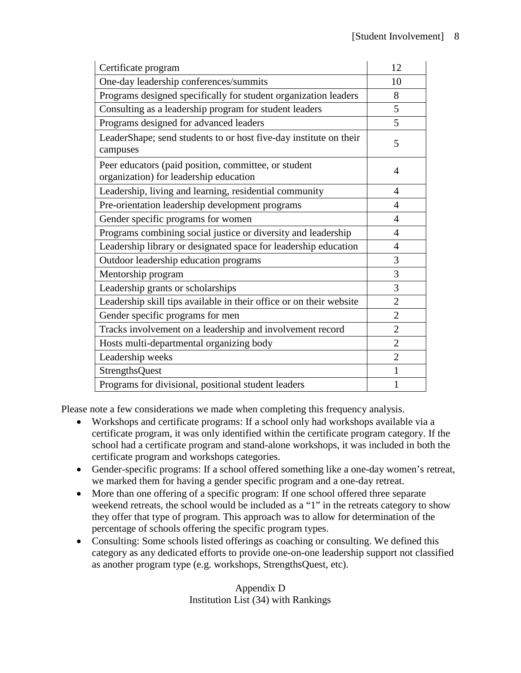| Certificate program                                                                            | 12             |
|------------------------------------------------------------------------------------------------|----------------|
| One-day leadership conferences/summits                                                         | 10             |
| Programs designed specifically for student organization leaders                                | 8              |
| Consulting as a leadership program for student leaders                                         | 5              |
| Programs designed for advanced leaders                                                         | 5              |
| LeaderShape; send students to or host five-day institute on their<br>campuses                  | 5              |
| Peer educators (paid position, committee, or student<br>organization) for leadership education | 4              |
| Leadership, living and learning, residential community                                         | 4              |
| Pre-orientation leadership development programs                                                | 4              |
| Gender specific programs for women                                                             | 4              |
| Programs combining social justice or diversity and leadership                                  | 4              |
| Leadership library or designated space for leadership education                                | $\overline{4}$ |
| Outdoor leadership education programs                                                          | 3              |
| Mentorship program                                                                             | 3              |
| Leadership grants or scholarships                                                              | 3              |
| Leadership skill tips available in their office or on their website                            | $\overline{2}$ |
| Gender specific programs for men                                                               | $\overline{2}$ |
| Tracks involvement on a leadership and involvement record                                      | $\overline{2}$ |
| Hosts multi-departmental organizing body                                                       | $\overline{2}$ |
| Leadership weeks                                                                               | $\overline{2}$ |
| <b>StrengthsQuest</b>                                                                          | $\mathbf{1}$   |
| Programs for divisional, positional student leaders                                            | 1              |

Please note a few considerations we made when completing this frequency analysis.

- Workshops and certificate programs: If a school only had workshops available via a certificate program, it was only identified within the certificate program category. If the school had a certificate program and stand-alone workshops, it was included in both the certificate program and workshops categories.
- Gender-specific programs: If a school offered something like a one-day women's retreat, we marked them for having a gender specific program and a one-day retreat.
- More than one offering of a specific program: If one school offered three separate weekend retreats, the school would be included as a "1" in the retreats category to show they offer that type of program. This approach was to allow for determination of the percentage of schools offering the specific program types.
- Consulting: Some schools listed offerings as coaching or consulting. We defined this category as any dedicated efforts to provide one-on-one leadership support not classified as another program type (e.g. workshops, StrengthsQuest, etc).

Appendix D Institution List (34) with Rankings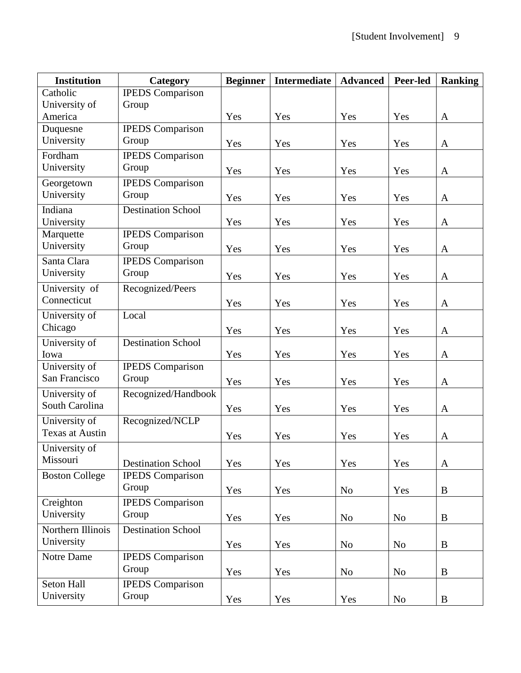| <b>Institution</b>     | Category                  | <b>Beginner</b> | Intermediate | <b>Advanced</b> | Peer-led       | Ranking      |  |
|------------------------|---------------------------|-----------------|--------------|-----------------|----------------|--------------|--|
| Catholic               | <b>IPEDS</b> Comparison   |                 |              |                 |                |              |  |
| University of          | Group                     |                 |              |                 |                |              |  |
| America                |                           | Yes             | Yes          | Yes             | Yes            | A            |  |
| Duquesne               | <b>IPEDS</b> Comparison   |                 |              |                 |                |              |  |
| University             | Group                     | Yes             | Yes          | Yes             | Yes            | A            |  |
| Fordham                | <b>IPEDS</b> Comparison   |                 |              |                 |                |              |  |
| University             | Group                     | Yes             | Yes          | Yes             | Yes            | A            |  |
| Georgetown             | <b>IPEDS</b> Comparison   |                 |              |                 |                |              |  |
| University             | Group                     | Yes             | Yes          | Yes             | Yes            | A            |  |
| Indiana                | <b>Destination School</b> |                 |              |                 |                |              |  |
| University             |                           | Yes             | Yes          | Yes             | Yes            | A            |  |
| Marquette              | <b>IPEDS</b> Comparison   |                 |              |                 |                |              |  |
| University             | Group                     | Yes             | Yes          | Yes             | Yes            | A            |  |
| Santa Clara            | <b>IPEDS</b> Comparison   |                 |              |                 |                |              |  |
| University             | Group                     | Yes             | Yes          | Yes             | Yes            | $\mathbf{A}$ |  |
| University of          | Recognized/Peers          |                 |              |                 |                |              |  |
| Connecticut            |                           | Yes             | Yes          | Yes             | Yes            | $\mathbf{A}$ |  |
| University of          | Local                     |                 |              |                 |                |              |  |
| Chicago                |                           | Yes             | Yes          | Yes             | Yes            | A            |  |
| University of          | <b>Destination School</b> |                 |              |                 |                |              |  |
| Iowa                   |                           | Yes             | Yes          | Yes             | Yes            | A            |  |
| University of          | <b>IPEDS</b> Comparison   |                 |              |                 |                |              |  |
| San Francisco          | Group                     | Yes             | Yes          | Yes             | Yes            | A            |  |
| University of          | Recognized/Handbook       |                 |              |                 |                |              |  |
| South Carolina         |                           | Yes             | Yes          | Yes             | Yes            | $\mathbf{A}$ |  |
| University of          | Recognized/NCLP           |                 |              |                 |                |              |  |
| <b>Texas at Austin</b> |                           | Yes             | Yes          | Yes             | Yes            | A            |  |
| University of          |                           |                 |              |                 |                |              |  |
| Missouri               | <b>Destination School</b> | Yes             | Yes          | Yes             | Yes            | $\mathbf{A}$ |  |
| <b>Boston College</b>  | <b>IPEDS</b> Comparison   |                 |              |                 |                |              |  |
|                        | Group                     | Yes             | Yes          | N <sub>o</sub>  | Yes            | $\bf{B}$     |  |
| Creighton              | <b>IPEDS</b> Comparison   |                 |              |                 |                |              |  |
| University             | Group                     |                 |              |                 |                |              |  |
|                        |                           | Yes             | Yes          | N <sub>0</sub>  | N <sub>o</sub> | B            |  |
| Northern Illinois      | <b>Destination School</b> |                 |              |                 |                |              |  |
| University             |                           | Yes             | Yes          | N <sub>0</sub>  | No             | B            |  |
| Notre Dame             | <b>IPEDS</b> Comparison   |                 |              |                 |                |              |  |
|                        | Group                     | Yes             | Yes          | N <sub>o</sub>  | No             | $\bf{B}$     |  |
| Seton Hall             | <b>IPEDS</b> Comparison   |                 |              |                 |                |              |  |
| University             | Group                     | Yes             | Yes          | Yes             | No             | B            |  |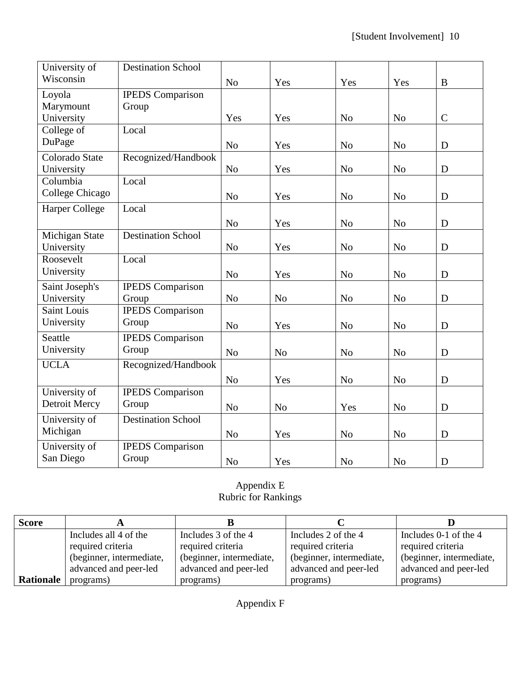| University of         | <b>Destination School</b> |                |                |                |                |               |
|-----------------------|---------------------------|----------------|----------------|----------------|----------------|---------------|
| Wisconsin             |                           | N <sub>o</sub> | Yes            | Yes            | Yes            | B             |
| Loyola                | <b>IPEDS</b> Comparison   |                |                |                |                |               |
| Marymount             | Group                     |                |                |                |                |               |
| University            |                           | Yes            | Yes            | N <sub>o</sub> | N <sub>o</sub> | $\mathcal{C}$ |
| College of            | Local                     |                |                |                |                |               |
| DuPage                |                           | N <sub>o</sub> | Yes            | N <sub>o</sub> | N <sub>o</sub> | D             |
| Colorado State        | Recognized/Handbook       |                |                |                |                |               |
| University            |                           | N <sub>o</sub> | Yes            | N <sub>o</sub> | N <sub>o</sub> | D             |
| Columbia              | Local                     |                |                |                |                |               |
| College Chicago       |                           | N <sub>o</sub> | Yes            | N <sub>o</sub> | N <sub>o</sub> | D             |
| <b>Harper College</b> | Local                     |                |                |                |                |               |
|                       |                           | N <sub>o</sub> | Yes            | N <sub>o</sub> | N <sub>o</sub> | D             |
| Michigan State        | <b>Destination School</b> |                |                |                |                |               |
| University            |                           | N <sub>o</sub> | Yes            | N <sub>o</sub> | N <sub>o</sub> | D             |
| Roosevelt             | Local                     |                |                |                |                |               |
| University            |                           | N <sub>o</sub> | Yes            | N <sub>o</sub> | N <sub>o</sub> | D             |
| Saint Joseph's        | <b>IPEDS</b> Comparison   |                |                |                |                |               |
| University            | Group                     | N <sub>o</sub> | N <sub>o</sub> | N <sub>o</sub> | N <sub>o</sub> | D             |
| Saint Louis           | <b>IPEDS</b> Comparison   |                |                |                |                |               |
| University            | Group                     | N <sub>o</sub> | Yes            | N <sub>o</sub> | N <sub>o</sub> | D             |
| Seattle               | <b>IPEDS</b> Comparison   |                |                |                |                |               |
| University            | Group                     | N <sub>o</sub> | N <sub>o</sub> | N <sub>o</sub> | N <sub>o</sub> | D             |
| <b>UCLA</b>           | Recognized/Handbook       |                |                |                |                |               |
|                       |                           | N <sub>o</sub> | Yes            | N <sub>o</sub> | N <sub>o</sub> | D             |
| University of         | <b>IPEDS</b> Comparison   |                |                |                |                |               |
| Detroit Mercy         | Group                     | N <sub>o</sub> | N <sub>o</sub> | Yes            | N <sub>o</sub> | D             |
| University of         | <b>Destination School</b> |                |                |                |                |               |
| Michigan              |                           | N <sub>o</sub> | Yes            | N <sub>o</sub> | N <sub>o</sub> | D             |
| University of         | <b>IPEDS</b> Comparison   |                |                |                |                |               |
| San Diego             | Group                     | N <sub>o</sub> | Yes            | N <sub>o</sub> | N <sub>o</sub> | D             |

# Appendix E Rubric for Rankings

| <b>Score</b>     |                          |                          |                          |                          |
|------------------|--------------------------|--------------------------|--------------------------|--------------------------|
|                  | Includes all 4 of the    | Includes 3 of the 4      | Includes 2 of the 4      | Includes 0-1 of the 4    |
|                  | required criteria        | required criteria        |                          | required criteria        |
|                  | (beginner, intermediate, | (beginner, intermediate, | (beginner, intermediate, | (beginner, intermediate, |
|                  | advanced and peer-led    | advanced and peer-led    | advanced and peer-led    | advanced and peer-led    |
| <b>Rationale</b> | programs)                | programs)                | programs)                | programs)                |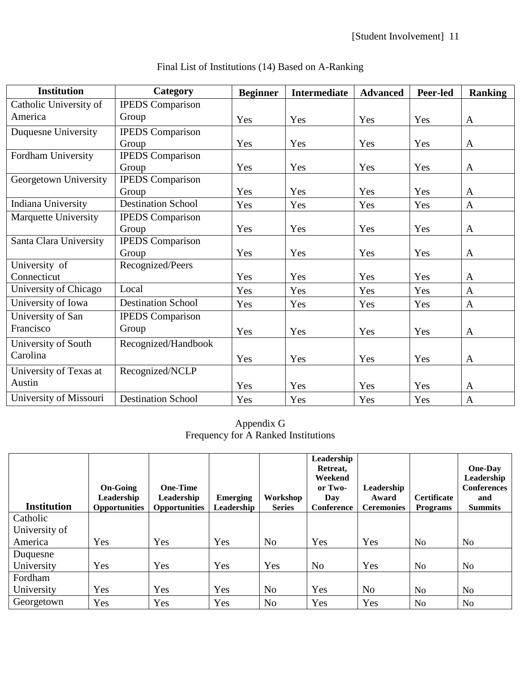| <b>Institution</b>          | Category                  | <b>Beginner</b> | <b>Intermediate</b> | <b>Advanced</b> | Peer-led | <b>Ranking</b> |
|-----------------------------|---------------------------|-----------------|---------------------|-----------------|----------|----------------|
| Catholic University of      | <b>IPEDS</b> Comparison   |                 |                     |                 |          |                |
| America                     | Group                     | Yes             | Yes                 | Yes             | Yes      | A              |
| Duquesne University         | <b>IPEDS</b> Comparison   |                 |                     |                 |          |                |
|                             | Group                     | Yes             | Yes                 | Yes             | Yes      | A              |
| Fordham University          | <b>IPEDS</b> Comparison   |                 |                     |                 |          |                |
|                             | Group                     | Yes             | Yes                 | Yes             | Yes      | $\mathbf{A}$   |
| Georgetown University       | <b>IPEDS</b> Comparison   |                 |                     |                 |          |                |
|                             | Group                     | Yes             | Yes                 | Yes             | Yes      | $\mathbf{A}$   |
| <b>Indiana University</b>   | <b>Destination School</b> | Yes             | Yes                 | Yes             | Yes      | $\mathbf{A}$   |
| <b>Marquette University</b> | <b>IPEDS</b> Comparison   |                 |                     |                 |          |                |
|                             | Group                     | Yes             | Yes                 | Yes             | Yes      | $\mathbf{A}$   |
| Santa Clara University      | <b>IPEDS</b> Comparison   |                 |                     |                 |          |                |
|                             | Group                     | Yes             | Yes                 | Yes             | Yes      | A              |
| University of               | Recognized/Peers          |                 |                     |                 |          |                |
| Connecticut                 |                           | Yes             | Yes                 | Yes             | Yes      | $\mathbf{A}$   |
| University of Chicago       | Local                     | Yes             | Yes                 | Yes             | Yes      | $\mathbf{A}$   |
| University of Iowa          | <b>Destination School</b> | Yes             | Yes                 | Yes             | Yes      | $\mathbf{A}$   |
| University of San           | <b>IPEDS</b> Comparison   |                 |                     |                 |          |                |
| Francisco                   | Group                     | Yes             | Yes                 | Yes             | Yes      | $\mathbf{A}$   |
| University of South         | Recognized/Handbook       |                 |                     |                 |          |                |
| Carolina                    |                           | Yes             | Yes                 | Yes             | Yes      | $\mathbf{A}$   |
| University of Texas at      | Recognized/NCLP           |                 |                     |                 |          |                |
| Austin                      |                           | Yes             | Yes                 | Yes             | Yes      | $\mathbf{A}$   |
| University of Missouri      | <b>Destination School</b> | Yes             | Yes                 | Yes             | Yes      | $\mathbf{A}$   |

# Final List of Institutions (14) Based on A-Ranking

Appendix G Frequency for A Ranked Institutions

|                    |                      |                 |                 |                | Leadership     |                   |                    |                    |
|--------------------|----------------------|-----------------|-----------------|----------------|----------------|-------------------|--------------------|--------------------|
|                    |                      |                 |                 |                | Retreat,       |                   |                    | <b>One-Day</b>     |
|                    |                      |                 |                 |                | Weekend        |                   |                    | Leadership         |
|                    | <b>On-Going</b>      | <b>One-Time</b> |                 |                | or Two-        | Leadership        |                    | <b>Conferences</b> |
|                    | Leadership           | Leadership      | <b>Emerging</b> | Workshop       | Day            | Award             | <b>Certificate</b> | and                |
| <b>Institution</b> | <b>Opportunities</b> | Opportunities   | Leadership      | <b>Series</b>  | Conference     | <b>Ceremonies</b> | <b>Programs</b>    | <b>Summits</b>     |
| Catholic           |                      |                 |                 |                |                |                   |                    |                    |
| University of      |                      |                 |                 |                |                |                   |                    |                    |
| America            | Yes                  | Yes             | Yes             | N <sub>o</sub> | Yes            | Yes               | N <sub>o</sub>     | No                 |
| Duquesne           |                      |                 |                 |                |                |                   |                    |                    |
| University         | Yes                  | Yes             | Yes             | Yes            | N <sub>o</sub> | Yes               | N <sub>0</sub>     | No                 |
| Fordham            |                      |                 |                 |                |                |                   |                    |                    |
| University         | Yes                  | Yes             | Yes             | N <sub>o</sub> | Yes            | N <sub>o</sub>    | N <sub>o</sub>     | No.                |
| Georgetown         | Yes                  | Yes             | Yes             | N <sub>o</sub> | Yes            | Yes               | No                 | N <sub>0</sub>     |